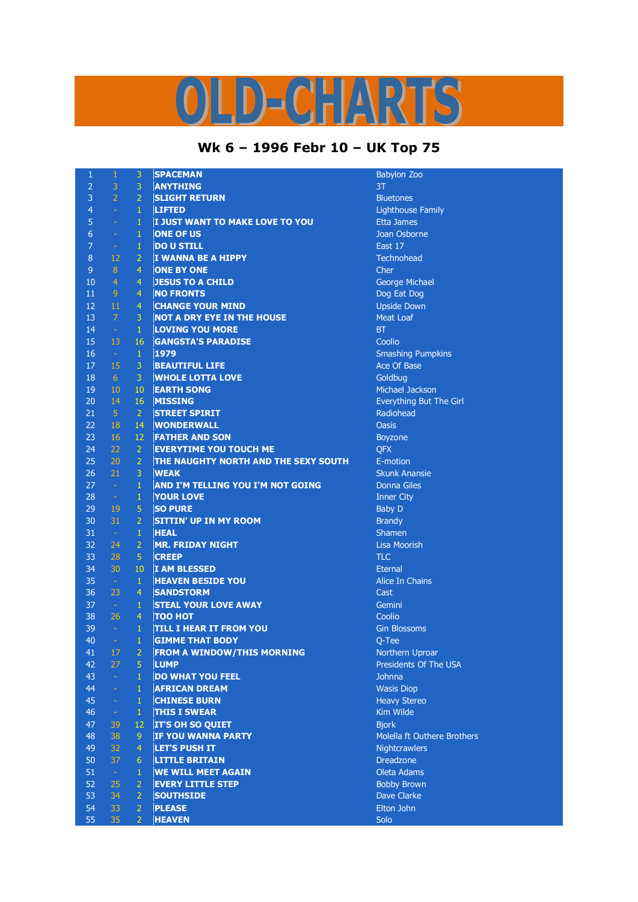## D-CHARTS

## **Wk 6 – 1996 Febr 10 – UK Top 75**

| $\mathbf 1$    | $\,1\,$              | 3              | <b>SPACEMAN</b>                          | <b>Babylon Zoo</b>                   |
|----------------|----------------------|----------------|------------------------------------------|--------------------------------------|
| $\overline{2}$ | 3                    | 3              | <b>ANYTHING</b>                          | 3T                                   |
| $\overline{3}$ | $\overline{2}$       | $\overline{2}$ | <b>SLIGHT RETURN</b>                     | <b>Bluetones</b>                     |
| 4              | $\Box$               | $\mathbf{1}$   | <b>LIFTED</b>                            | <b>Lighthouse Family</b>             |
| 5              | ÷,                   | $\mathbf{1}$   | I JUST WANT TO MAKE LOVE TO YOU          | <b>Etta James</b>                    |
| 6              | ä,                   | $\mathbf{1}$   | <b>ONE OF US</b>                         | Joan Osborne                         |
| $\overline{7}$ | $\rightarrow$        | 1              | <b>DO U STILL</b>                        | East 17                              |
| $\,8\,$        | 12                   | $\overline{2}$ | <b>I WANNA BE A HIPPY</b>                | <b>Technohead</b>                    |
| $\mathsf 9$    | $\overline{8}$       | $\overline{4}$ | <b>ONE BY ONE</b>                        | Cher                                 |
| 10             | $\overline{4}$       | $\overline{4}$ | <b>JESUS TO A CHILD</b>                  | George Michael                       |
| 11             | 9                    | $\overline{4}$ | <b>NO FRONTS</b>                         | Dog Eat Dog                          |
| 12             | 11                   | 4              | <b>CHANGE YOUR MIND</b>                  | <b>Upside Down</b>                   |
| 13             | $\overline{7}$       | 3              | <b>NOT A DRY EYE IN THE HOUSE</b>        | <b>Meat Loaf</b>                     |
| 14             | $\omega$             | $\mathbf{1}$   | <b>LOVING YOU MORE</b>                   | <b>BT</b>                            |
| 15             | 13                   | 16             | <b>GANGSTA'S PARADISE</b>                | Coolio                               |
| 16             | $\sim$               | $\mathbf{1}$   | 1979                                     | <b>Smashing Pumpkins</b>             |
| 17             | 15                   | 3              | <b>BEAUTIFUL LIFE</b>                    | Ace Of Base                          |
| 18             | $6 \overline{6}$     | 3              | <b>WHOLE LOTTA LOVE</b>                  | Goldbug                              |
| 19             | 10                   | 10             | <b>EARTH SONG</b>                        | Michael Jackson                      |
| 20             | 14                   | 16             |                                          |                                      |
|                |                      |                | <b>MISSING</b>                           | Everything But The Girl<br>Radiohead |
| 21             | $\overline{5}$       | $\overline{2}$ | <b>STREET SPIRIT</b>                     |                                      |
| 22             | 18                   | 14             | <b>WONDERWALL</b>                        | <b>Oasis</b>                         |
| 23             | 16                   | 12             | <b>FATHER AND SON</b>                    | Boyzone                              |
| 24             | 22                   | $\overline{2}$ | <b>EVERYTIME YOU TOUCH ME</b>            | QFX                                  |
| 25             | 20                   | $\overline{2}$ | THE NAUGHTY NORTH AND THE SEXY SOUTH     | E-motion                             |
| 26             | 21                   | 3              | <b>WEAK</b>                              | <b>Skunk Anansie</b>                 |
| 27             | $\sim$               | $\mathbf{1}$   | <b>AND I'M TELLING YOU I'M NOT GOING</b> | <b>Donna Giles</b>                   |
| 28             | $\frac{1}{\sqrt{2}}$ | $\mathbf{1}$   | <b>YOUR LOVE</b>                         | <b>Inner City</b>                    |
| 29             | 19                   | 5              | <b>SO PURE</b>                           | <b>Baby D</b>                        |
| 30             | 31                   | $\overline{2}$ | <b>SITTIN' UP IN MY ROOM</b>             | <b>Brandy</b>                        |
| 31             | $\sim$               | $\mathbf 1$    | <b>HEAL</b>                              | Shamen                               |
| 32             | 24                   | $\overline{2}$ | <b>MR. FRIDAY NIGHT</b>                  | <b>Lisa Moorish</b>                  |
| 33             | 28                   | 5              | <b>CREEP</b>                             | <b>TLC</b>                           |
| 34             | 30                   | 10             | <b>I AM BLESSED</b>                      | <b>Eternal</b>                       |
| 35             | $\sim$               | $\mathbf{1}$   | <b>HEAVEN BESIDE YOU</b>                 | <b>Alice In Chains</b>               |
| 36             | 23                   | $\overline{4}$ | <b>SANDSTORM</b>                         | Cast                                 |
| 37             | $\sim$ .             | $1\,$          | <b>STEAL YOUR LOVE AWAY</b>              | Gemini                               |
| 38             | 26                   | $\overline{4}$ | <b>TOO HOT</b>                           | Coolio                               |
| 39             | $\omega$             | $\mathbf{1}$   | <b>TILL I HEAR IT FROM YOU</b>           | <b>Gin Blossoms</b>                  |
| 40             | $\omega_{\rm c}$     | $\mathbf{1}$   | <b>GIMME THAT BODY</b>                   | Q-Tee                                |
| 41             | 17                   | $\overline{2}$ | <b>FROM A WINDOW/THIS MORNING</b>        | Northern Uproar                      |
| 42             | 27                   | 5              | <b>LUMP</b>                              | Presidents Of The USA                |
| 43             | ÷.                   | $\mathbf{1}$   | <b>DO WHAT YOU FEEL</b>                  | <b>Johnna</b>                        |
| 44             | ÷,                   | $\mathbf{1}$   | <b>AFRICAN DREAM</b>                     | <b>Wasis Diop</b>                    |
| 45             | ÷                    | $\mathbf{1}$   | <b>CHINESE BURN</b>                      | <b>Heavy Stereo</b>                  |
| 46             | $\omega_{\rm c}$     | $\mathbf{1}$   | <b>THIS I SWEAR</b>                      | Kim Wilde                            |
| 47             | 39                   | 12             | <b>IT'S OH SO QUIET</b>                  | <b>Biork</b>                         |
| 48             | 38                   | 9              | <b>IF YOU WANNA PARTY</b>                | Molella ft Outhere Brothers          |
| 49             | 32                   | $\overline{4}$ | <b>LET'S PUSH IT</b>                     | Nightcrawlers                        |
| 50             | 37                   | $6\phantom{1}$ | <b>LITTLE BRITAIN</b>                    | <b>Dreadzone</b>                     |
| 51             | $\omega$             | $\mathbf{1}$   | <b>WE WILL MEET AGAIN</b>                | Oleta Adams                          |
| 52             | 25                   | $\overline{2}$ | <b>EVERY LITTLE STEP</b>                 | <b>Bobby Brown</b>                   |
| 53             | 34                   | $\overline{2}$ | <b>SOUTHSIDE</b>                         | Dave Clarke                          |
| 54             | 33                   | $\overline{2}$ | <b>PLEASE</b>                            | Elton John                           |
| 55             | 35                   | $\overline{2}$ | <b>HEAVEN</b>                            | Solo                                 |
|                |                      |                |                                          |                                      |